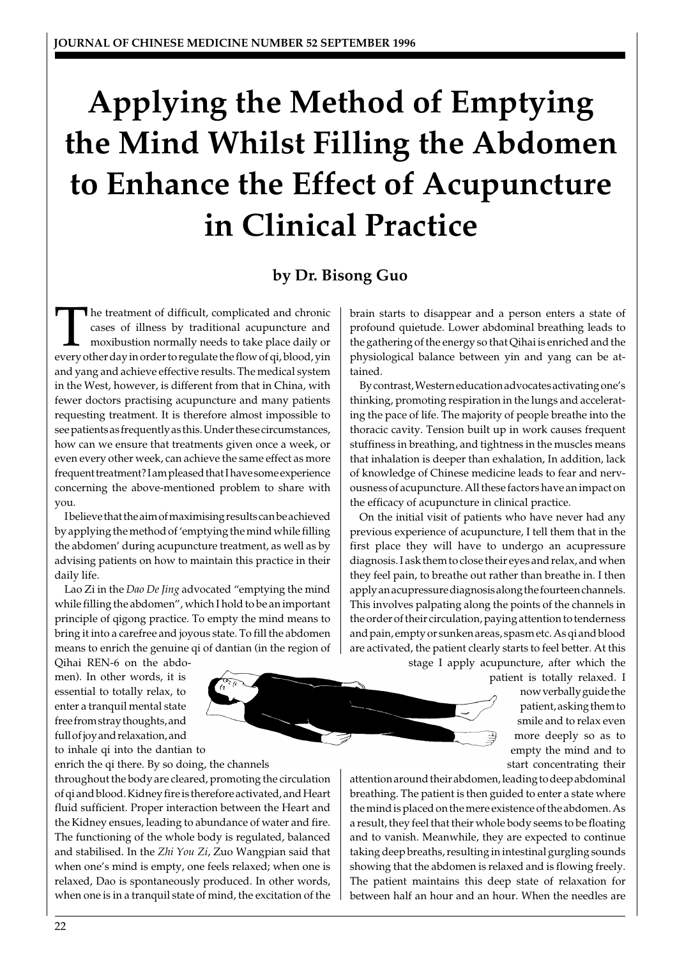# **Applying the Method of Emptying the Mind Whilst Filling the Abdomen to Enhance the Effect of Acupuncture in Clinical Practice**

# **by Dr. Bisong Guo**

The treatment of difficult, complicated and chronic cases of illness by traditional acupuncture and moxibustion normally needs to take place daily or every other day in order to regulate the flow of ai, blood, vin cases of illness by traditional acupuncture and moxibustion normally needs to take place daily or every other day in order to regulate the flow of qi, blood, yin and yang and achieve effective results. The medical system in the West, however, is different from that in China, with fewer doctors practising acupuncture and many patients requesting treatment. It is therefore almost impossible to see patients as frequently as this. Under these circumstances, how can we ensure that treatments given once a week, or even every other week, can achieve the same effect as more frequent treatment? I am pleased that I have some experience concerning the above-mentioned problem to share with you.

I believe that the aim of maximising results can be achieved by applying the method of 'emptying the mind while filling the abdomen' during acupuncture treatment, as well as by advising patients on how to maintain this practice in their daily life.

Lao Zi in the *Dao De Jing* advocated "emptying the mind while filling the abdomen", which I hold to be an important principle of qigong practice. To empty the mind means to bring it into a carefree and joyous state. To fill the abdomen means to enrich the genuine qi of dantian (in the region of

Qihai REN-6 on the abdomen). In other words, it is essential to totally relax, to enter a tranquil mental state free from stray thoughts, and full of joy and relaxation, and to inhale qi into the dantian to

enrich the qi there. By so doing, the channels

throughout the body are cleared, promoting the circulation of qi and blood. Kidney fire is therefore activated, and Heart fluid sufficient. Proper interaction between the Heart and the Kidney ensues, leading to abundance of water and fire. The functioning of the whole body is regulated, balanced and stabilised. In the *Zhi You Zi*, Zuo Wangpian said that when one's mind is empty, one feels relaxed; when one is relaxed, Dao is spontaneously produced. In other words, when one is in a tranquil state of mind, the excitation of the brain starts to disappear and a person enters a state of profound quietude. Lower abdominal breathing leads to the gathering of the energy so that Qihai is enriched and the physiological balance between yin and yang can be attained.

By contrast, Western education advocates activating one's thinking, promoting respiration in the lungs and accelerating the pace of life. The majority of people breathe into the thoracic cavity. Tension built up in work causes frequent stuffiness in breathing, and tightness in the muscles means that inhalation is deeper than exhalation, In addition, lack of knowledge of Chinese medicine leads to fear and nervousness of acupuncture. All these factors have an impact on the efficacy of acupuncture in clinical practice.

On the initial visit of patients who have never had any previous experience of acupuncture, I tell them that in the first place they will have to undergo an acupressure diagnosis. I ask them to close their eyes and relax, and when they feel pain, to breathe out rather than breathe in. I then apply an acupressure diagnosis along the fourteen channels. This involves palpating along the points of the channels in the order of their circulation, paying attention to tenderness and pain, empty or sunken areas, spasm etc. As qi and blood are activated, the patient clearly starts to feel better. At this

stage I apply acupuncture, after which the

patient is totally relaxed. I now verbally guide the patient, asking them to smile and to relax even more deeply so as to empty the mind and to start concentrating their

attention around their abdomen, leading to deep abdominal breathing. The patient is then guided to enter a state where the mind is placed on the mere existence of the abdomen. As a result, they feel that their whole body seems to be floating and to vanish. Meanwhile, they are expected to continue taking deep breaths, resulting in intestinal gurgling sounds showing that the abdomen is relaxed and is flowing freely. The patient maintains this deep state of relaxation for between half an hour and an hour. When the needles are